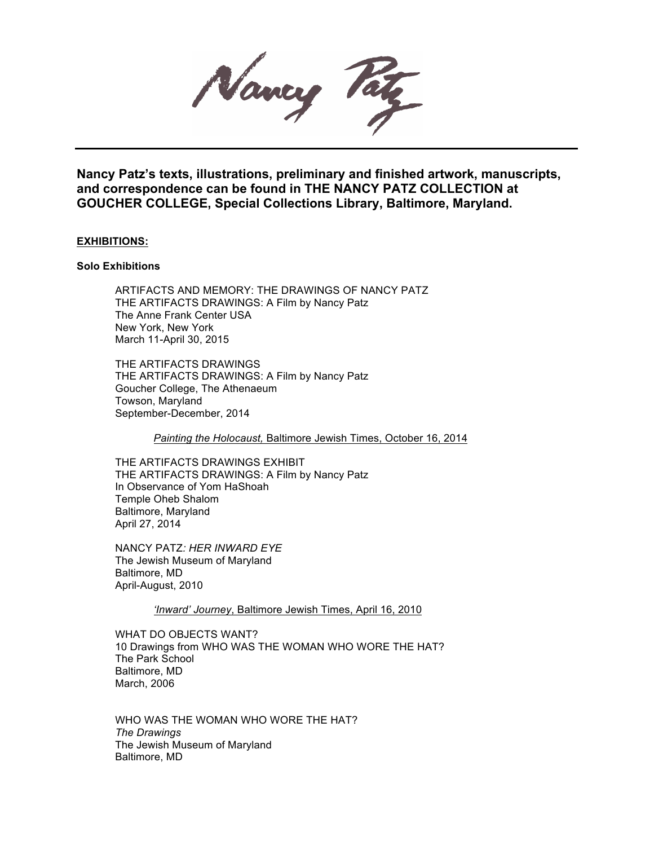Nancy Pay

**Nancy Patz's texts, illustrations, preliminary and finished artwork, manuscripts, and correspondence can be found in THE NANCY PATZ COLLECTION at GOUCHER COLLEGE, Special Collections Library, Baltimore, Maryland.**

## **EXHIBITIONS:**

#### **Solo Exhibitions**

ARTIFACTS AND MEMORY: THE DRAWINGS OF NANCY PATZ THE ARTIFACTS DRAWINGS: A Film by Nancy Patz The Anne Frank Center USA New York, New York March 11-April 30, 2015

THE ARTIFACTS DRAWINGS THE ARTIFACTS DRAWINGS: A Film by Nancy Patz Goucher College, The Athenaeum Towson, Maryland September-December, 2014

*Painting the Holocaust,* Baltimore Jewish Times, October 16, 2014

THE ARTIFACTS DRAWINGS EXHIBIT THE ARTIFACTS DRAWINGS: A Film by Nancy Patz In Observance of Yom HaShoah Temple Oheb Shalom Baltimore, Maryland April 27, 2014

NANCY PATZ*: HER INWARD EYE* The Jewish Museum of Maryland Baltimore, MD April-August, 2010

*'Inward' Journey*, Baltimore Jewish Times, April 16, 2010

WHAT DO OBJECTS WANT? 10 Drawings from WHO WAS THE WOMAN WHO WORE THE HAT? The Park School Baltimore, MD March, 2006

WHO WAS THE WOMAN WHO WORE THE HAT? *The Drawings* The Jewish Museum of Maryland Baltimore, MD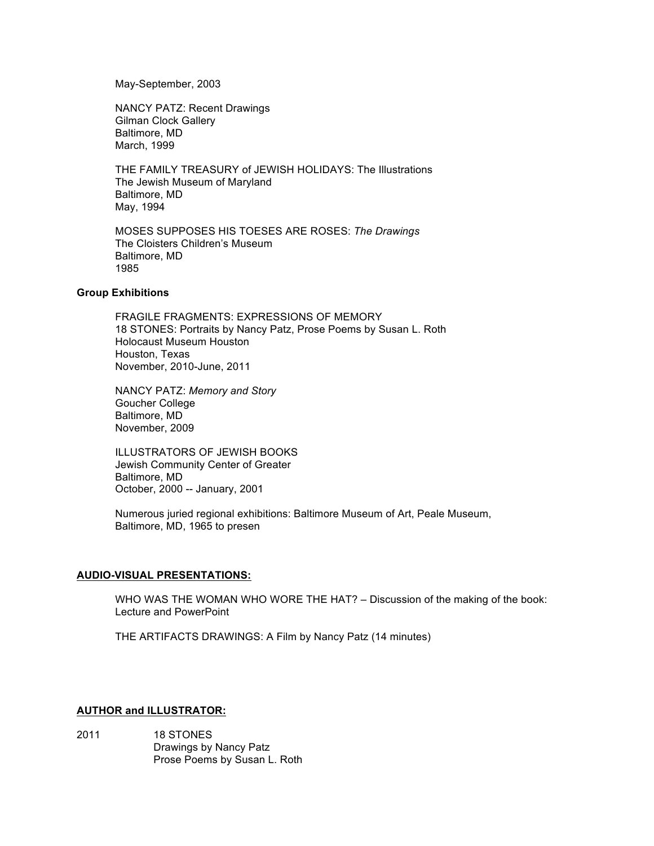May-September, 2003

NANCY PATZ: Recent Drawings Gilman Clock Gallery Baltimore, MD March, 1999

THE FAMILY TREASURY of JEWISH HOLIDAYS: The Illustrations The Jewish Museum of Maryland Baltimore, MD May, 1994

MOSES SUPPOSES HIS TOESES ARE ROSES: *The Drawings* The Cloisters Children's Museum Baltimore, MD 1985

#### **Group Exhibitions**

FRAGILE FRAGMENTS: EXPRESSIONS OF MEMORY 18 STONES: Portraits by Nancy Patz, Prose Poems by Susan L. Roth Holocaust Museum Houston Houston, Texas November, 2010-June, 2011

NANCY PATZ: *Memory and Story* Goucher College Baltimore, MD November, 2009

ILLUSTRATORS OF JEWISH BOOKS Jewish Community Center of Greater Baltimore, MD October, 2000 -- January, 2001

Numerous juried regional exhibitions: Baltimore Museum of Art, Peale Museum, Baltimore, MD, 1965 to presen

# **AUDIO-VISUAL PRESENTATIONS:**

WHO WAS THE WOMAN WHO WORE THE HAT? – Discussion of the making of the book: Lecture and PowerPoint

THE ARTIFACTS DRAWINGS: A Film by Nancy Patz (14 minutes)

# **AUTHOR and ILLUSTRATOR:**

2011 18 STONES Drawings by Nancy Patz Prose Poems by Susan L. Roth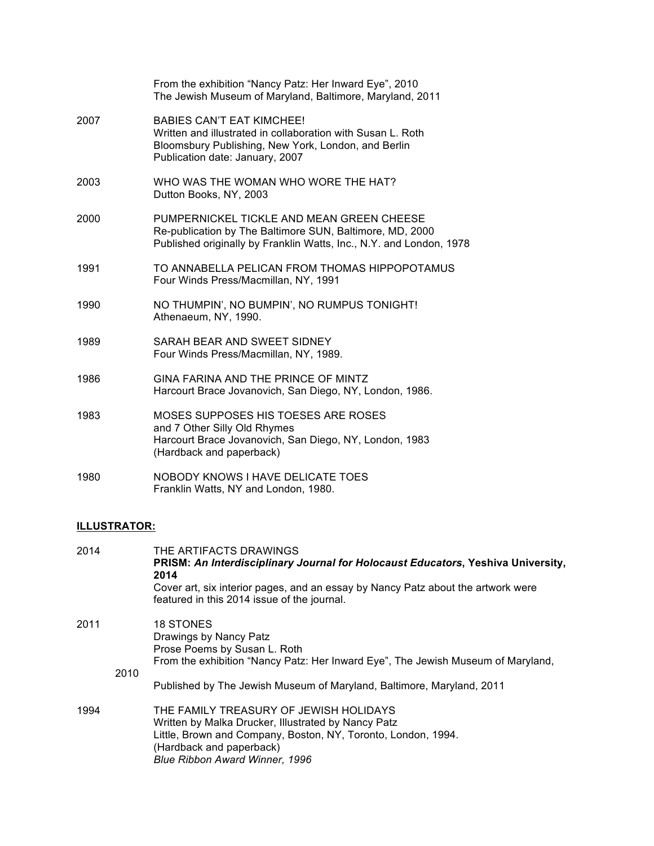|      | From the exhibition "Nancy Patz: Her Inward Eye", 2010<br>The Jewish Museum of Maryland, Baltimore, Maryland, 2011                                                                        |
|------|-------------------------------------------------------------------------------------------------------------------------------------------------------------------------------------------|
| 2007 | <b>BABIES CAN'T EAT KIMCHEE!</b><br>Written and illustrated in collaboration with Susan L. Roth<br>Bloomsbury Publishing, New York, London, and Berlin<br>Publication date: January, 2007 |
| 2003 | WHO WAS THE WOMAN WHO WORE THE HAT?<br>Dutton Books, NY, 2003                                                                                                                             |
| 2000 | PUMPERNICKEL TICKLE AND MEAN GREEN CHEESE<br>Re-publication by The Baltimore SUN, Baltimore, MD, 2000<br>Published originally by Franklin Watts, Inc., N.Y. and London, 1978              |
| 1991 | TO ANNABELLA PELICAN FROM THOMAS HIPPOPOTAMUS<br>Four Winds Press/Macmillan, NY, 1991                                                                                                     |
| 1990 | NO THUMPIN', NO BUMPIN', NO RUMPUS TONIGHT!<br>Athenaeum, NY, 1990.                                                                                                                       |
| 1989 | SARAH BEAR AND SWEET SIDNEY<br>Four Winds Press/Macmillan, NY, 1989.                                                                                                                      |
| 1986 | GINA FARINA AND THE PRINCE OF MINTZ<br>Harcourt Brace Jovanovich, San Diego, NY, London, 1986.                                                                                            |
| 1983 | MOSES SUPPOSES HIS TOESES ARE ROSES<br>and 7 Other Silly Old Rhymes<br>Harcourt Brace Jovanovich, San Diego, NY, London, 1983<br>(Hardback and paperback)                                 |
| 1980 | <b>NOBODY KNOWS I HAVE DELICATE TOES</b><br>Franklin Watts, NY and London, 1980.                                                                                                          |

# **ILLUSTRATOR:**

| 2014 |      | THE ARTIFACTS DRAWINGS<br>PRISM: An Interdisciplinary Journal for Holocaust Educators, Yeshiva University,<br>2014<br>Cover art, six interior pages, and an essay by Nancy Patz about the artwork were<br>featured in this 2014 issue of the journal. |
|------|------|-------------------------------------------------------------------------------------------------------------------------------------------------------------------------------------------------------------------------------------------------------|
| 2011 | 2010 | <b>18 STONES</b><br>Drawings by Nancy Patz<br>Prose Poems by Susan L. Roth<br>From the exhibition "Nancy Patz: Her Inward Eye", The Jewish Museum of Maryland,                                                                                        |
|      |      | Published by The Jewish Museum of Maryland, Baltimore, Maryland, 2011                                                                                                                                                                                 |
| 1994 |      | THE FAMILY TREASURY OF JEWISH HOLIDAYS<br>Written by Malka Drucker, Illustrated by Nancy Patz<br>Little, Brown and Company, Boston, NY, Toronto, London, 1994.<br>(Hardback and paperback)<br><b>Blue Ribbon Award Winner, 1996</b>                   |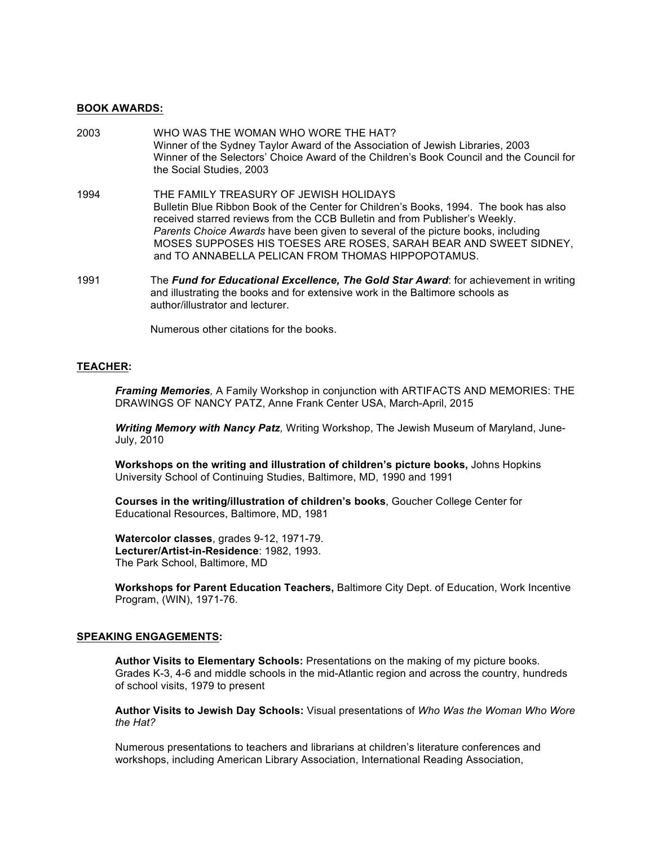#### **BOOK AWARDS:**

- 2003 WHO WAS THE WOMAN WHO WORE THE HAT? Winner of the Sydney Taylor Award of the Association of Jewish Libraries, 2003 Winner of the Selectors' Choice Award of the Children's Book Council and the Council for the Social Studies, 2003
- 1994 THE FAMILY TREASURY OF JEWISH HOLIDAYS Bulletin Blue Ribbon Book of the Center for Children's Books, 1994. The book has also received starred reviews from the CCB Bulletin and from Publisher's Weekly. *Parents Choice Awards* have been given to several of the picture books, including MOSES SUPPOSES HIS TOESES ARE ROSES, SARAH BEAR AND SWEET SIDNEY, and TO ANNABELLA PELICAN FROM THOMAS HIPPOPOTAMUS.
- 1991 The *Fund for Educational Excellence, The Gold Star Award*: for achievement in writing and illustrating the books and for extensive work in the Baltimore schools as author/illustrator and lecturer.

Numerous other citations for the books.

# **TEACHER:**

*Framing Memories,* A Family Workshop in conjunction with ARTIFACTS AND MEMORIES: THE DRAWINGS OF NANCY PATZ, Anne Frank Center USA, March-April, 2015

*Writing Memory with Nancy Patz,* Writing Workshop, The Jewish Museum of Maryland, June-July, 2010

**Workshops on the writing and illustration of children's picture books,** Johns Hopkins University School of Continuing Studies, Baltimore, MD, 1990 and 1991

**Courses in the writing/illustration of children's books**, Goucher College Center for Educational Resources, Baltimore, MD, 1981

**Watercolor classes**, grades 9-12, 1971-79. **Lecturer/Artist-in-Residence**: 1982, 1993. The Park School, Baltimore, MD

**Workshops for Parent Education Teachers,** Baltimore City Dept. of Education, Work Incentive Program, (WIN), 1971-76.

#### **SPEAKING ENGAGEMENTS:**

**Author Visits to Elementary Schools:** Presentations on the making of my picture books. Grades K-3, 4-6 and middle schools in the mid-Atlantic region and across the country, hundreds of school visits, 1979 to present

**Author Visits to Jewish Day Schools:** Visual presentations of *Who Was the Woman Who Wore the Hat?*

Numerous presentations to teachers and librarians at children's literature conferences and workshops, including American Library Association, International Reading Association,